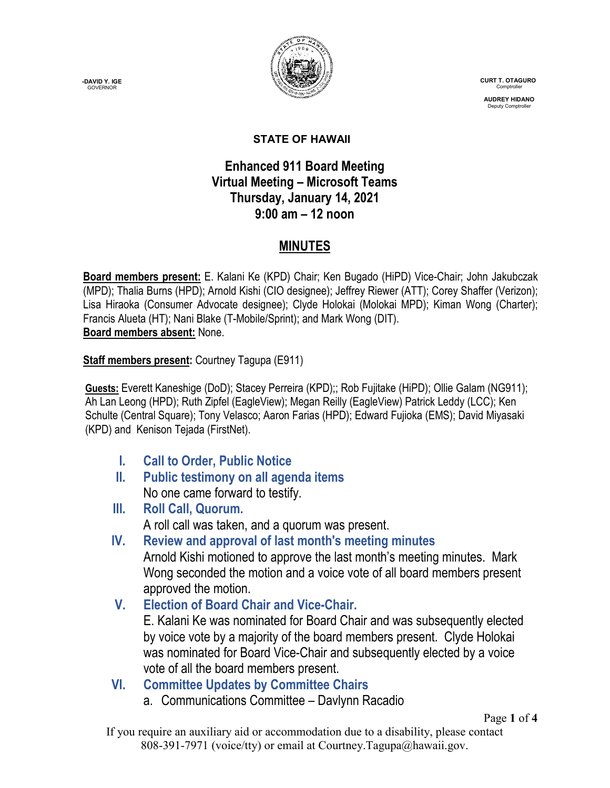**-DAVID Y. IGE GOVERNOR** 



 **CURT T. OTAGURO** Comptrol

 **AUDREY HIDANO** Deputy Comptroll

#### **STATE OF HAWAII**

#### **Enhanced 911 Board Meeting Virtual Meeting – Microsoft Teams Thursday, January 14, 2021 9:00 am – 12 noon**

### **MINUTES**

**Board members present:** E. Kalani Ke (KPD) Chair; Ken Bugado (HiPD) Vice-Chair; John Jakubczak (MPD); Thalia Burns (HPD); Arnold Kishi (CIO designee); Jeffrey Riewer (ATT); Corey Shaffer (Verizon); Lisa Hiraoka (Consumer Advocate designee); Clyde Holokai (Molokai MPD); Kiman Wong (Charter); Francis Alueta (HT); Nani Blake (T-Mobile/Sprint); and Mark Wong (DIT). **Board members absent:** None.

**Staff members present:** Courtney Tagupa (E911)

**Guests:** Everett Kaneshige (DoD); Stacey Perreira (KPD);; Rob Fujitake (HiPD); Ollie Galam (NG911); Ah Lan Leong (HPD); Ruth Zipfel (EagleView); Megan Reilly (EagleView) Patrick Leddy (LCC); Ken Schulte (Central Square); Tony Velasco; Aaron Farias (HPD); Edward Fujioka (EMS); David Miyasaki (KPD) and Kenison Tejada (FirstNet).

- **I. Call to Order, Public Notice**
- **II. Public testimony on all agenda items** No one came forward to testify.
- **III. Roll Call, Quorum.** A roll call was taken, and a quorum was present.
- **IV. Review and approval of last month's meeting minutes**

Arnold Kishi motioned to approve the last month's meeting minutes. Mark Wong seconded the motion and a voice vote of all board members present approved the motion.

**V. Election of Board Chair and Vice-Chair.**

E. Kalani Ke was nominated for Board Chair and was subsequently elected by voice vote by a majority of the board members present. Clyde Holokai was nominated for Board Vice-Chair and subsequently elected by a voice vote of all the board members present.

- **VI. Committee Updates by Committee Chairs**
	- a. Communications Committee Davlynn Racadio

Page **1** of **4**

If you require an auxiliary aid or accommodation due to a disability, please contact 808-391-7971 (voice/tty) or email at Courtney.Tagupa@hawaii.gov.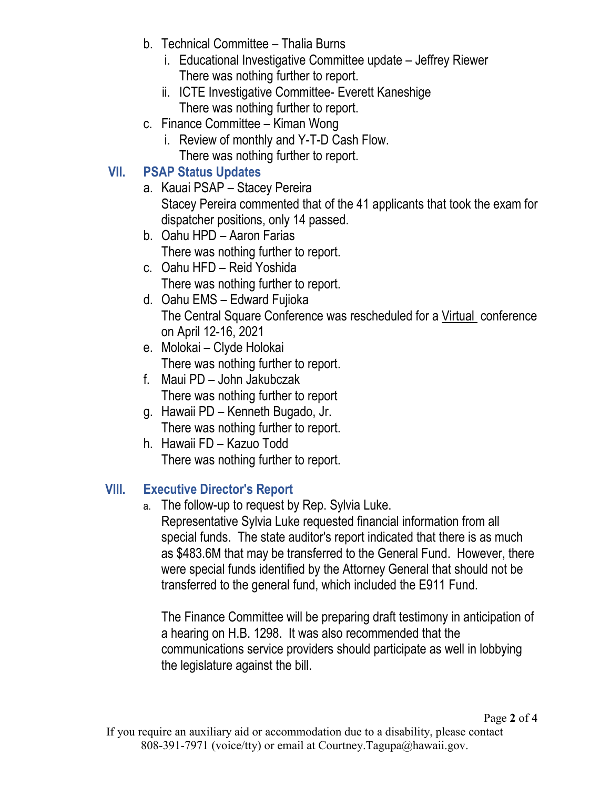- b. Technical Committee Thalia Burns
	- i. Educational Investigative Committee update Jeffrey Riewer There was nothing further to report.
	- ii. ICTE Investigative Committee- Everett Kaneshige There was nothing further to report.
- c. Finance Committee Kiman Wong
	- i. Review of monthly and Y-T-D Cash Flow. There was nothing further to report.

# **VII. PSAP Status Updates**

- a. Kauai PSAP Stacey Pereira Stacey Pereira commented that of the 41 applicants that took the exam for dispatcher positions, only 14 passed.
- b. Oahu HPD Aaron Farias There was nothing further to report.
- c. Oahu HFD Reid Yoshida There was nothing further to report.
- d. Oahu EMS Edward Fujioka The Central Square Conference was rescheduled for a Virtual conference on April 12-16, 2021
- e. Molokai Clyde Holokai There was nothing further to report.
- f. Maui PD John Jakubczak There was nothing further to report
- g. Hawaii PD Kenneth Bugado, Jr. There was nothing further to report.
- h. Hawaii FD Kazuo Todd There was nothing further to report.

# **VIII. Executive Director's Report**

a. The follow-up to request by Rep. Sylvia Luke. Representative Sylvia Luke requested financial information from all special funds. The state auditor's report indicated that there is as much as \$483.6M that may be transferred to the General Fund. However, there were special funds identified by the Attorney General that should not be transferred to the general fund, which included the E911 Fund.

The Finance Committee will be preparing draft testimony in anticipation of a hearing on H.B. 1298. It was also recommended that the communications service providers should participate as well in lobbying the legislature against the bill.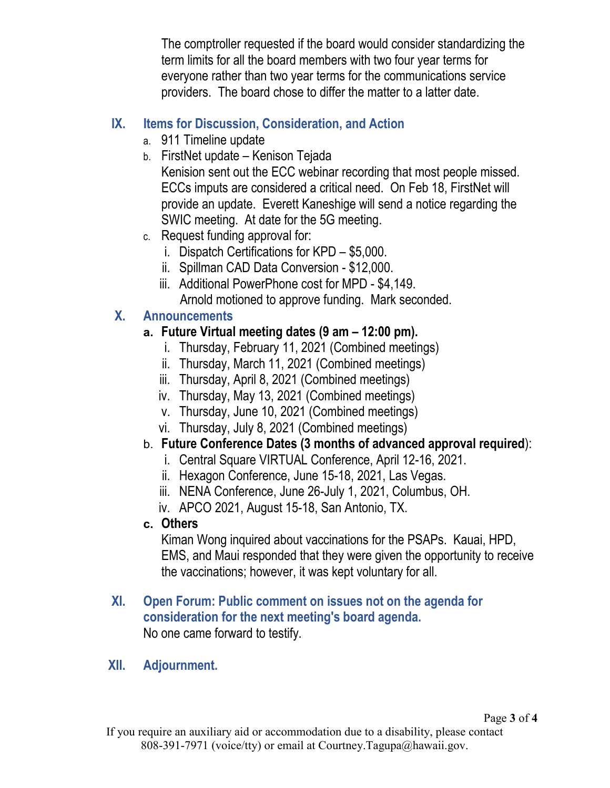The comptroller requested if the board would consider standardizing the term limits for all the board members with two four year terms for everyone rather than two year terms for the communications service providers. The board chose to differ the matter to a latter date.

### **IX. Items for Discussion, Consideration, and Action**

- a. 911 Timeline update
- b. FirstNet update Kenison Tejada Kenision sent out the ECC webinar recording that most people missed. ECCs imputs are considered a critical need. On Feb 18, FirstNet will provide an update. Everett Kaneshige will send a notice regarding the SWIC meeting. At date for the 5G meeting.
- c. Request funding approval for:
	- i. Dispatch Certifications for KPD \$5,000.
	- ii. Spillman CAD Data Conversion \$12,000.
	- iii. Additional PowerPhone cost for MPD \$4,149. Arnold motioned to approve funding. Mark seconded.

# **X. Announcements**

### **a. Future Virtual meeting dates (9 am – 12:00 pm).**

- i. Thursday, February 11, 2021 (Combined meetings)
- ii. Thursday, March 11, 2021 (Combined meetings)
- iii. Thursday, April 8, 2021 (Combined meetings)
- iv. Thursday, May 13, 2021 (Combined meetings)
- v. Thursday, June 10, 2021 (Combined meetings)
- vi. Thursday, July 8, 2021 (Combined meetings)

# b. **Future Conference Dates (3 months of advanced approval required**):

- i. Central Square VIRTUAL Conference, April 12-16, 2021.
- ii. Hexagon Conference, June 15-18, 2021, Las Vegas.
- iii. NENA Conference, June 26-July 1, 2021, Columbus, OH.
- iv. APCO 2021, August 15-18, San Antonio, TX.

### **c. Others**

Kiman Wong inquired about vaccinations for the PSAPs. Kauai, HPD, EMS, and Maui responded that they were given the opportunity to receive the vaccinations; however, it was kept voluntary for all.

#### **XI. Open Forum: Public comment on issues not on the agenda for consideration for the next meeting's board agenda.** No one came forward to testify.

### **XII. Adjournment.**